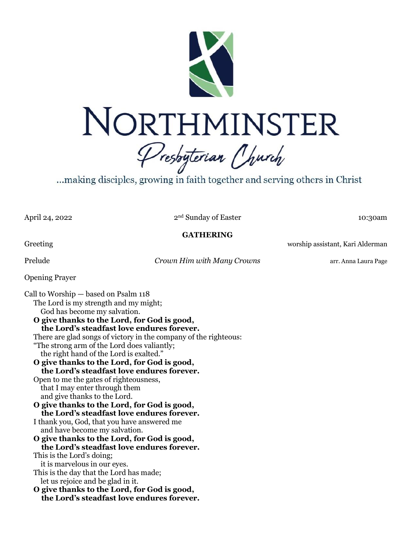

...making disciples, growing in faith together and serving others in Christ

April 24, 2022

2<sup>nd</sup> Sunday of Easter 10:30am

**GATHERING**

Greeting **Exercise 2.1 September 2.1 September 2.1 September 2.1 September 2.1 September 2.1 September 2.1 September 2.1 September 2.1 September 2.1 September 2.1 September 2.1 September 2.1 September 2.1 September 2.1 Sep** 

Prelude *Crown Him with Many Crowns* arr. Anna Laura Page

Opening Prayer

Call to Worship — based on Psalm 118 The Lord is my strength and my might; God has become my salvation. **O give thanks to the Lord, for God is good, the Lord's steadfast love endures forever.** There are glad songs of victory in the company of the righteous: "The strong arm of the Lord does valiantly; the right hand of the Lord is exalted." **O give thanks to the Lord, for God is good, the Lord's steadfast love endures forever.** Open to me the gates of righteousness, that I may enter through them and give thanks to the Lord. **O give thanks to the Lord, for God is good, the Lord's steadfast love endures forever.** I thank you, God, that you have answered me and have become my salvation. **O give thanks to the Lord, for God is good, the Lord's steadfast love endures forever.** This is the Lord's doing; it is marvelous in our eyes. This is the day that the Lord has made; let us rejoice and be glad in it. **O give thanks to the Lord, for God is good, the Lord's steadfast love endures forever.**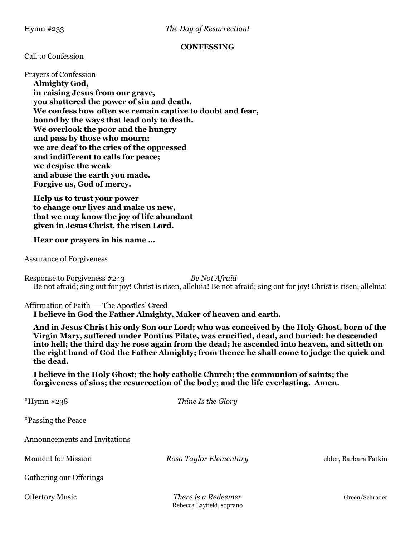#### **CONFESSING**

#### Call to Confession

Prayers of Confession **Almighty God, in raising Jesus from our grave, you shattered the power of sin and death.**

**We confess how often we remain captive to doubt and fear, bound by the ways that lead only to death. We overlook the poor and the hungry and pass by those who mourn; we are deaf to the cries of the oppressed and indifferent to calls for peace; we despise the weak and abuse the earth you made. Forgive us, God of mercy.**

**Help us to trust your power to change our lives and make us new, that we may know the joy of life abundant given in Jesus Christ, the risen Lord.**

#### **Hear our prayers in his name …**

Assurance of Forgiveness

Response to Forgiveness #243 *Be Not Afraid* Be not afraid; sing out for joy! Christ is risen, alleluia! Be not afraid; sing out for joy! Christ is risen, alleluia!

Affirmation of Faith — The Apostles' Creed **I believe in God the Father Almighty, Maker of heaven and earth.**

**And in Jesus Christ his only Son our Lord; who was conceived by the Holy Ghost, born of the Virgin Mary, suffered under Pontius Pilate, was crucified, dead, and buried; he descended into hell; the third day he rose again from the dead; he ascended into heaven, and sitteth on the right hand of God the Father Almighty; from thence he shall come to judge the quick and the dead.**

**I believe in the Holy Ghost; the holy catholic Church; the communion of saints; the forgiveness of sins; the resurrection of the body; and the life everlasting. Amen.**

| *Hymn #238                    | Thine Is the Glory     |                       |
|-------------------------------|------------------------|-----------------------|
| <i>*Passing the Peace</i>     |                        |                       |
| Announcements and Invitations |                        |                       |
| <b>Moment</b> for Mission     | Rosa Taylor Elementary | elder, Barbara Fatkin |
| Gathering our Offerings       |                        |                       |
| <b>Offertory Music</b>        | There is a Redeemer    | Green/Schrader        |

Rebecca Layfield, soprano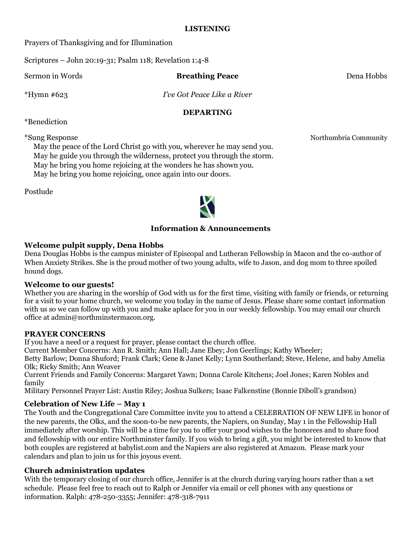### **LISTENING**

Prayers of Thanksgiving and for Illumination

Scriptures – John 20:19-31; Psalm 118; Revelation 1:4-8

Sermon in Words **Breathing Peace** Dena Hobbs

\*Hymn #623 *I've Got Peace Like a River*

## **DEPARTING**

\*Benediction

\*Sung Response Northumbria Community

May the peace of the Lord Christ go with you, wherever he may send you. May he guide you through the wilderness, protect you through the storm. May he bring you home rejoicing at the wonders he has shown you. May he bring you home rejoicing, once again into our doors.

Postlude



## **Information & Announcements**

## **Welcome pulpit supply, Dena Hobbs**

Dena Douglas Hobbs is the campus minister of Episcopal and Lutheran Fellowship in Macon and the co-author of When Anxiety Strikes. She is the proud mother of two young adults, wife to Jason, and dog mom to three spoiled hound dogs.

## **Welcome to our guests!**

Whether you are sharing in the worship of God with us for the first time, visiting with family or friends, or returning for a visit to your home church, we welcome you today in the name of Jesus. Please share some contact information with us so we can follow up with you and make aplace for you in our weekly fellowship. You may email our church office at admin@northminstermacon.org.

## **PRAYER CONCERNS**

If you have a need or a request for prayer, please contact the church office.

Current Member Concerns: Ann R. Smith; Ann Hall; Jane Ebey; Jon Geerlings; Kathy Wheeler;

Betty Barlow; Donna Shuford; Frank Clark; Gene & Janet Kelly; Lynn Southerland; Steve, Helene, and baby Amelia Olk; Ricky Smith; Ann Weaver

Current Friends and Family Concerns: Margaret Yawn; Donna Carole Kitchens; Joel Jones; Karen Nobles and family

Military Personnel Prayer List: Austin Riley; Joshua Sulkers; Isaac Falkenstine (Bonnie Diboll's grandson)

## **Celebration of New Life – May 1**

The Youth and the Congregational Care Committee invite you to attend a CELEBRATION OF NEW LIFE in honor of the new parents, the Olks, and the soon-to-be new parents, the Napiers, on Sunday, May 1 in the Fellowship Hall immediately after worship. This will be a time for you to offer your good wishes to the honorees and to share food and fellowship with our entire Northminster family. If you wish to bring a gift, you might be interested to know that both couples are registered at babylist.com and the Napiers are also registered at Amazon. Please mark your calendars and plan to join us for this joyous event.

# **Church administration updates**

With the temporary closing of our church office, Jennifer is at the church during varying hours rather than a set schedule. Please feel free to reach out to Ralph or Jennifer via email or cell phones with any questions or information. Ralph: 478-250-3355; Jennifer: 478-318-7911